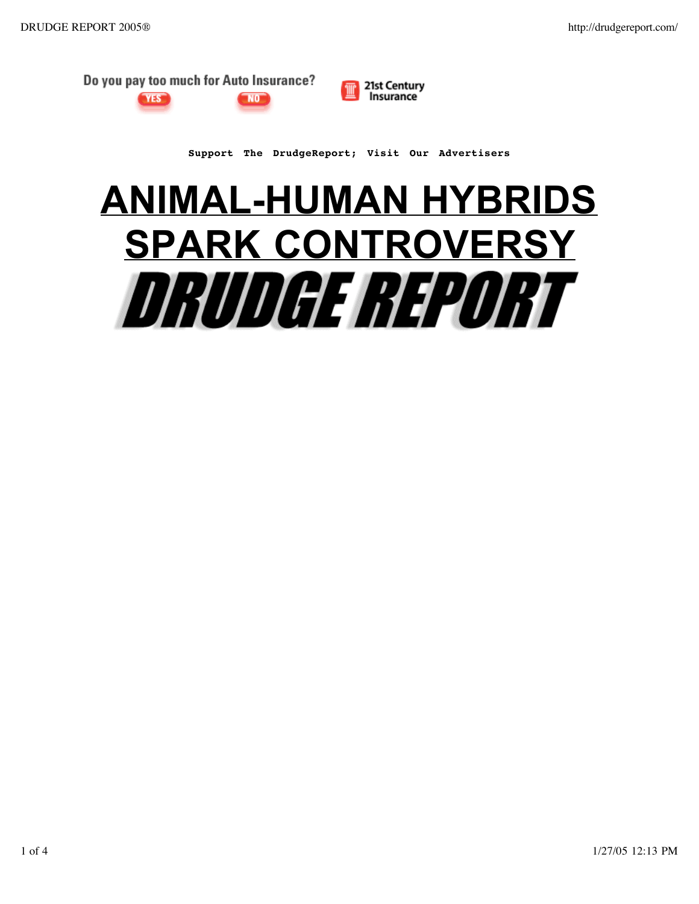

VEST





**Support The DrudgeReport; Visit Our Advertisers**

## **ANIMAL-HUMAN HYBRIDS SPARK CONTROVERSY***DRUDGE REPORT*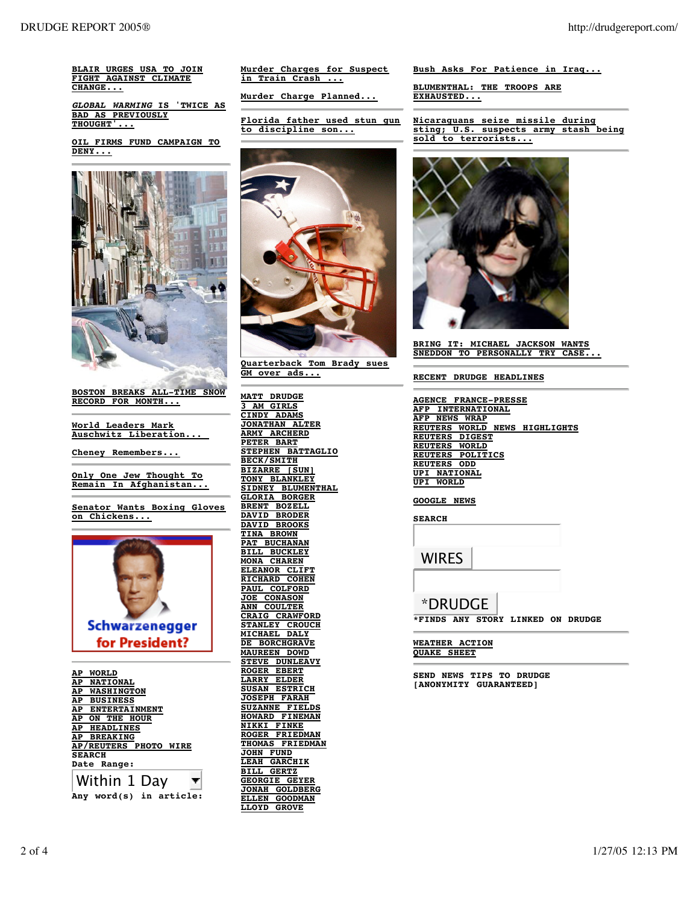**BLAIR URGES USA TO JOIN FIGHT AGAINST CLIMATE CHANGE...**

**GLOBAL WARMING IS 'TWICE AS BAD AS PREVIOUSLY THOUGHT'...**

**OIL FIRMS FUND CAMPAIGN TO DENY...**



**BOSTON BREAKS ALL-TIME SNOW RECORD FOR MONTH...**

**World Leaders Mark Auschwitz Liberation...** 

**Cheney Remembers...** 

**Only One Jew Thought To Remain In Afghanistan...**

**Senator Wants Boxing Gloves on Chickens...** 



**AP WORLD AP NATIONAL AP WASHINGTON AP BUSINESS AP ENTERTAINMENT AP ON THE HOUR AP HEADLINES AP BREAKING AP/REUTERS PHOTO WIRE SEARCH Date Range:**

Within 1 Day **Any word(s) in article:** **Murder Charges for Suspect in Train Crash ...**

**Murder Charge Planned...** 

**Florida father used stun gun to discipline son...**



**Quarterback Tom Brady sues GM over ads...**

**MATT DRUDGE 3 AM GIRLS CINDY ADAMS JONATHAN ALTER ARMY ARCHERD PETER BART STEPHEN BATTAGLIO BECK/SMITH BIZARRE [SUN] TONY BLANKLEY SIDNEY BLUMENTHAL GLORIA BORGER BRENT BOZELL DAVID BRODER DAVID BROOKS TINA BROWN PAT BUCHANAN BILL BUCKLEY MONA CHAREN ELEANOR CLIFT RICHARD COHEN PAUL COLFORD JOE CONASON ANN COULTER CRAIG CRAWFORD STANLEY CROUCH MICHAEL DALY DE BORCHGRAVE MAUREEN DOWD STEVE DUNLEAVY ROGER EBERT LARRY ELDER SUSAN ESTRICH JOSEPH FARAH SUZANNE FIELDS HOWARD FINEMAN NIKKI FINKE ROGER FRIEDMAN THOMAS FRIEDMAN JOHN FUND LEAH GARCHIK BILL GERTZ GEORGIE GEYER JONAH GOLDBERG ELLEN GOODMAN LLOYD GROVE**

**Bush Asks For Patience in Iraq...**

**BLUMENTHAL: THE TROOPS ARE EXHAUSTED...**

**Nicaraguans seize missile during sting; U.S. suspects army stash being sold to terrorists...**



**BRING IT: MICHAEL JACKSON WANTS SNEDDON TO PERSONALLY TRY CASE...**

**RECENT DRUDGE HEADLINES**

**AGENCE FRANCE-PRESSE AFP INTERNATIONAL AFP NEWS WRAP REUTERS WORLD NEWS HIGHLIGHTS REUTERS DIGEST REUTERS WORLD REUTERS POLITICS REUTERS ODD UPI NATIONAL UPI WORLD**

## **GOOGLE NEWS**

**SEARCH** WIRES \*DRUDGE

**\*FINDS ANY STORY LINKED ON DRUDGE**

**WEATHER ACTION QUAKE SHEET**

**SEND NEWS TIPS TO DRUDGE [ANONYMITY GUARANTEED]**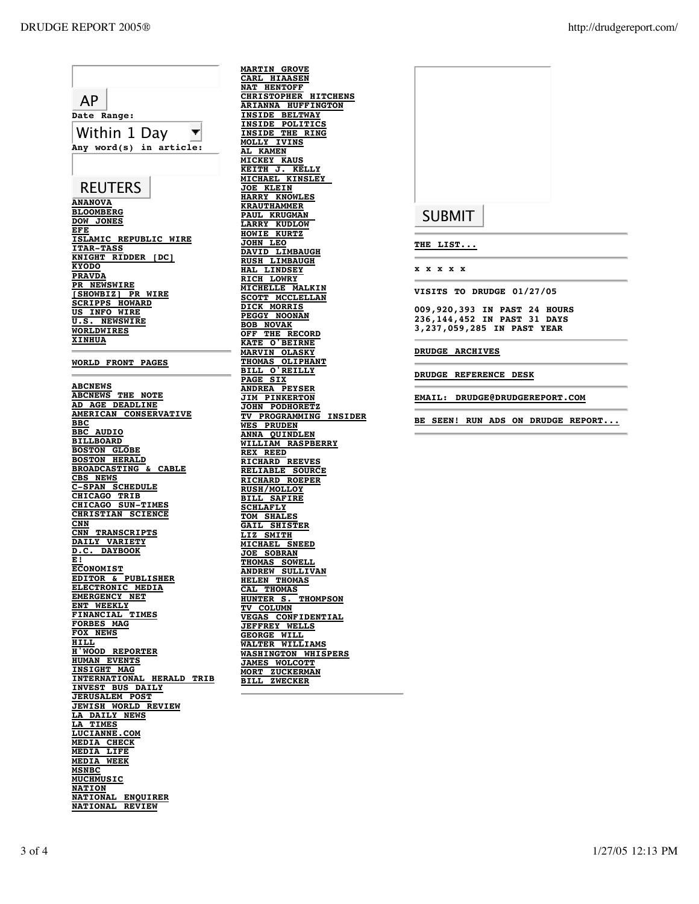AP **Date Range:** Within 1 Day  $\blacksquare$ **Any word(s) in article: REUTERS ANANOVA BLOOMBERG DOW JONES EFE ISLAMIC REPUBLIC WIRE ITAR-TASS KNIGHT RIDDER [DC] KYODO PRAVDA PR NEWSWIRE [SHOWBIZ] PR WIRE SCRIPPS HOWARD US INFO WIRE U.S. NEWSWIRE WORLDWIRES XINHUA WORLD FRONT PAGES ABCNEWS ABCNEWS THE NOTE AD AGE DEADLINE AMERICAN CONSERVATIVE BBC BBC AUDIO BILLBOARD BOSTON GLOBE BOSTON HERALD BROADCASTING & CABLE CBS NEWS C-SPAN SCHEDULE CHICAGO TRIB CHICAGO SUN-TIMES CHRISTIAN SCIENCE CNN CNN TRANSCRIPTS DAILY VARIETY D.C. DAYBOOK E! ECONOMIST EDITOR & PUBLISHER ELECTRONIC MEDIA EMERGENCY NET ENT WEEKLY FINANCIAL TIMES FORBES MAG FOX NEWS HILL H'WOOD REPORTER HUMAN EVENTS INSIGHT MAG INTERNATIONAL HERALD TRIB INVEST BUS DAILY JERUSALEM POST JEWISH WORLD REVIEW LA DAILY NEWS LA TIMES LUCIANNE.COM MEDIA CHECK MEDIA LIFE MEDIA WEEK MSNBC MUCHMUSIC NATION NATIONAL ENQUIRER NATIONAL REVIEW**

**MARTIN GROVE CARL HIAASEN NAT HENTOFF CHRISTOPHER HITCHENS ARIANNA HUFFINGTON INSIDE BELTWAY INSIDE POLITICS INSIDE THE RING MOLLY IVINS AL KAMEN MICKEY KAUS KEITH J. KELLY MICHAEL KINSLEY JOE KLEIN HARRY KNOWLES KRAUTHAMMER PAUL KRUGMAN LARRY KUDLOW HOWIE KURTZ JOHN LEO DAVID LIMBAUGH RUSH LIMBAUGH HAL LINDSEY RICH LOWRY MICHELLE MALKIN SCOTT MCCLELLAN DICK MORRIS PEGGY NOONAN BOB NOVAK OFF THE RECORD KATE O'BEIRNE MARVIN OLASKY THOMAS OLIPHANT BILL O'REILLY PAGE SIX ANDREA PEYSER JIM PINKERTON JOHN PODHORETZ TV PROGRAMMING INSIDER PRUDEN ANNA QUINDLEN WILLIAM RASPBERRY REX REED RICHARD REEVES RELIABLE SOURCE RICHARD ROEPER RUSH/MOLLOY BILL SAFIRE SCHLAFLY TOM SHALES GAIL SHISTER LIZ SMITH MICHAEL SNEED JOE SOBRAN THOMAS SOWELL ANDREW SULLIVAN HELEN THOMAS CAL THOMAS HUNTER S. THOMPSON TV COLUMN VEGAS CONFIDENTIAL JEFFREY WELLS GEORGE WILL WALTER WILLIAMS WASHINGTON WHISPERS JAMES WOLCOTT MORT ZUCKERMAN BILL ZWECKER**



**THE LIST...**

**x x x x x**

**VISITS TO DRUDGE 01/27/05**

**009,920,393 IN PAST 24 HOURS 236,144,452 IN PAST 31 DAYS 3,237,059,285 IN PAST YEAR**

**DRUDGE ARCHIVES**

**DRUDGE REFERENCE DESK**

**EMAIL: DRUDGE@DRUDGEREPORT.COM**

**BE SEEN! RUN ADS ON DRUDGE REPORT.**